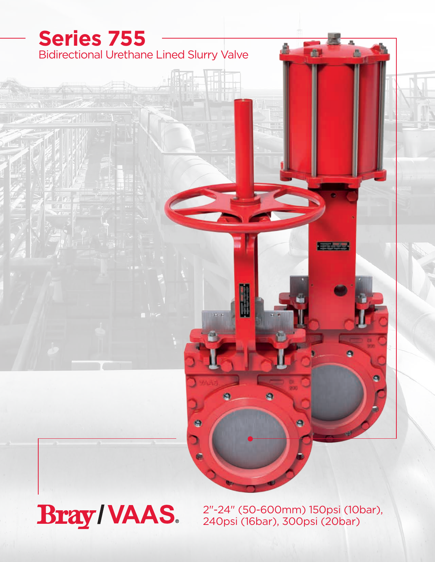

**Bray/VAAS.** 

2"-24" (50-600mm) 150psi (10bar), 240psi (16bar), 300psi (20bar)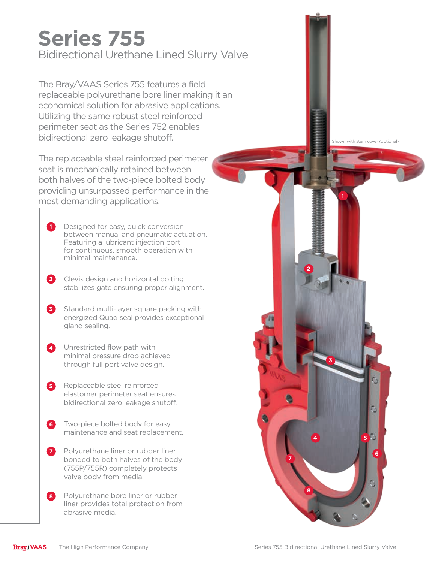## Bidirectional Urethane Lined Slurry Valve **Series 755**

The Bray/VAAS Series 755 features a field replaceable polyurethane bore liner making it an economical solution for abrasive applications. Utilizing the same robust steel reinforced perimeter seat as the Series 752 enables bidirectional zero leakage shutoff.

The replaceable steel reinforced perimeter seat is mechanically retained between both halves of the two-piece bolted body providing unsurpassed performance in the most demanding applications.

- Designed for easy, quick conversion between manual and pneumatic actuation. Featuring a lubricant injection port for continuous, smooth operation with minimal maintenance. **1**
- Clevis design and horizontal bolting **2** stabilizes gate ensuring proper alignment.
- **3** Standard multi-layer square packing with energized Quad seal provides exceptional gland sealing.
- Unrestricted flow path with minimal pressure drop achieved through full port valve design. **4**
- Replaceable steel reinforced elastomer perimeter seat ensures bidirectional zero leakage shutoff. **5**
- Two-piece bolted body for easy **6** maintenance and seat replacement.
- Polyurethane liner or rubber liner **6 7** bonded to both halves of the body (755P/755R) completely protects valve body from media.
- Polyurethane bore liner or rubber liner provides total protection from abrasive media. **8**



**1**

**2**

**3**

**4 5**

ā

**7**

**8**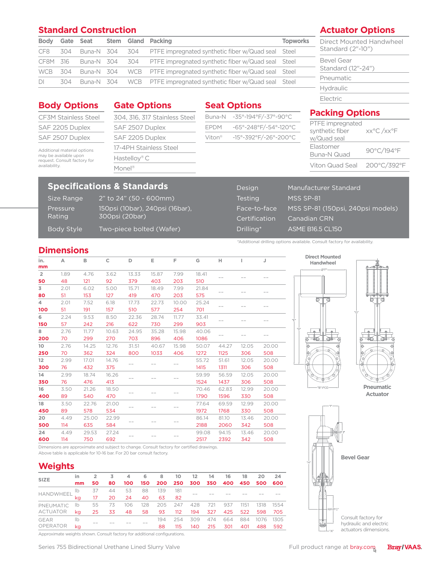### **Standard Construction**

| <b>Body</b>    |  |  |  | Gate Seat Stem Gland Packing                                               | <b>Topworks</b> |  |
|----------------|--|--|--|----------------------------------------------------------------------------|-----------------|--|
|                |  |  |  | CF8 304 Buna-N 304 304 PTFE impregnated synthetic fiber w/Quad seal Steel  |                 |  |
|                |  |  |  | CF8M 316 Buna-N 304 304 PTFE impregnated synthetic fiber w/Quad seal Steel |                 |  |
|                |  |  |  | WCB 304 Buna-N 304 WCB PTFE impregnated synthetic fiber w/Quad seal Steel  |                 |  |
| D <sub>l</sub> |  |  |  | 304 Buna-N 304 WCB PTFE impregnated synthetic fiber w/Quad seal Steel      |                 |  |

### **Actuator Options**

Direct Mounted Handwheel Standard (2"-10")

Bevel Gear Standard (12"-24") Pneumatic Hydraulic Electric

### **Body Options**

| <b>CF3M Stainless Steel</b> |
|-----------------------------|
| SAF 2205 Duplex             |
| SAF 2507 Duplex             |

Additional material options may be available upon request. Consult factory for availability.

### **Gate Options**

304, 316, 317 Stainless Steel SAF 2507 Duplex SAF 2205 Duplex 17-4PH Stainless Steel Hastelloy® C Monel®

### **Specifications & Standards**

Pressure Rating

Size Range 2" to 24" (50 - 600mm) 150psi (10bar), 240psi (16bar), 300psi (20bar) Body Style Two-piece bolted (Wafer)

| <b>Seat Options</b>         |
|-----------------------------|
| Buna-N -35°-194°F/-37°-90°C |

# EPDM -65°-248°F/-54°-120°C Viton® -15°-392°F/-26°-200°C

### **Packing Options** PTFE impregnated

| synthetic fiber<br>w/Quad seal | xx°C /xx°F |
|--------------------------------|------------|
| Elastomer<br>Buna-N Quad       | 90°C/194°F |
| Viton Quad Seal 200°C/392°F    |            |

| Design        | Manufacturer Standard             |
|---------------|-----------------------------------|
| Testing       | MSS SP-81                         |
| Face-to-face  | MSS SP-81 (150psi, 240psi models) |
| Certification | Canadian CRN                      |
| Drilling*     | <b>ASME B16.5 CL150</b>           |

<sup>\*</sup>Additional drilling options available. Consult factory for availability.

### **Dimensions**

**Weights**

HANDWHEEL

PNEUMATIC ACTUATOR

**SIZE**

GEAR OPERATOR

| in.<br>mm            | Α    | в     | C     | D     | Е     | F     | G     | н     |       | J     |
|----------------------|------|-------|-------|-------|-------|-------|-------|-------|-------|-------|
| $\overline{2}$       | 1.89 | 4.76  | 3.62  | 13.33 | 15.87 | 7.99  | 18.41 |       |       |       |
| 50                   | 48   | 121   | 92    | 379   | 403   | 203   | 510   |       |       |       |
| 3                    | 2.01 | 6.02  | 5.00  | 15.71 | 18.49 | 7.99  | 21.84 |       |       |       |
| 80                   | 51   | 153   | 127   | 419   | 470   | 203   | 575   |       |       |       |
| $\blacktriangleleft$ | 2.01 | 7.52  | 6.18  | 17.73 | 22.73 | 10.00 | 25.24 |       |       |       |
| 100                  | 51   | 191   | 157   | 510   | 577   | 254   | 701   | $-$   |       |       |
| 6                    | 2.24 | 9.53  | 8.50  | 22.36 | 28.74 | 11.77 | 33.41 |       |       |       |
| 150                  | 57   | 242   | 216   | 622   | 730   | 299   | 903   |       |       |       |
| 8                    | 2.76 | 11.77 | 10.63 | 24.95 | 35.28 | 15.98 | 40.06 |       |       |       |
| 200                  | 70   | 299   | 270   | 703   | 896   | 406   | 1086  |       |       |       |
| 10 <sup>°</sup>      | 2.76 | 14.25 | 12.76 | 31.51 | 40.67 | 15.98 | 50.07 | 44.27 | 12.05 | 20.00 |
| 250                  | 70   | 362   | 324   | 800   | 1033  | 406   | 1272  | 1125  | 306   | 508   |
| 12                   | 2.99 | 17.01 | 14.76 |       |       |       | 55.72 | 51.61 | 12.05 | 20.00 |
| 300                  | 76   | 432   | 375   |       |       |       | 1415  | 1311  | 306   | 508   |
| 14                   | 2.99 | 18.74 | 16.26 |       |       |       | 59.99 | 56.59 | 12.05 | 20.00 |
| 350                  | 76   | 476   | 413   |       |       |       | 1524  | 1437  | 306   | 508   |
| 16                   | 3.50 | 21.26 | 18.50 |       |       |       | 70.46 | 62.83 | 12.99 | 20.00 |
| 400                  | 89   | 540   | 470   |       |       |       | 1790  | 1596  | 330   | 508   |
| 18                   | 3.50 | 22.76 | 21.00 |       |       |       | 77.64 | 69.59 | 12.99 | 20.00 |
| 450                  | 89   | 578   | 534   |       |       |       | 1972  | 1768  | 330   | 508   |
| 20                   | 4.49 | 25.00 | 22.99 |       |       |       | 86.14 | 81.10 | 13.46 | 20.00 |
| 500                  | 114  | 635   | 584   |       |       |       | 2188  | 2060  | 342   | 508   |
| 24                   | 4.49 | 29.53 | 27.24 |       |       |       | 99.08 | 94.15 | 13.46 | 20.00 |
| 600                  | 114  | 750   | 692   |       |       |       | 2517  | 2392  | 342   | 508   |

**in 2 3 4 6 8 10 12 14 16 18 20 24 mm 50 80 100 150 200 250 300 350 400 450 500 600**

lb <sup>37</sup> <sup>44</sup> <sup>53</sup> <sup>88</sup> <sup>139</sup> <sup>181</sup> –– –– –– –– –– –– kg <sup>17</sup> <sup>20</sup> <sup>24</sup> <sup>40</sup> <sup>63</sup> <sup>82</sup>

lb 55 73 106 128 205 247 428 721 937 1151 1318 1554 kg 25 33 48 58 93 112 194 327 425 522 598 705

lb –– –– –– –– <sup>194</sup> <sup>254</sup> <sup>309</sup> <sup>474</sup> <sup>664</sup> <sup>884</sup> <sup>1076</sup> <sup>1305</sup> kg 88 115 140 215 301 401 488 592



**Pneumatic Actuator**



**Bray/VAAS.** 

Approximate weights shown. Consult factory for additional configurations.

Above table is applicable for 10-16 bar. For 20 bar consult factory.